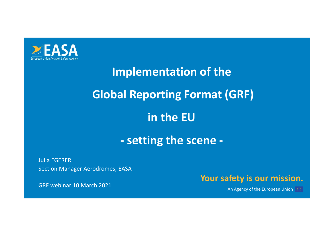

## Implementation of the Global Reporting Format (GRF) in the EU **nplementation of the<br>al Reporting Format (GRF)<br>in the EU<br>- setting the scene -**

Julia EGERER Section Manager Aerodromes, EASA

GRF webinar 10 March 2021

Your safety is our mission.

An Agency of the European Union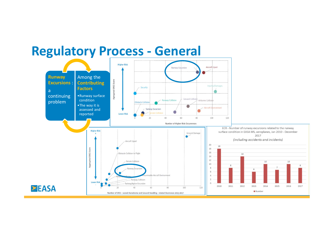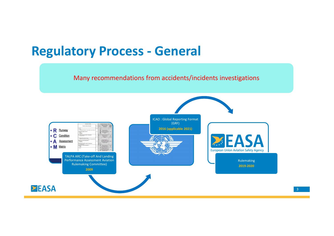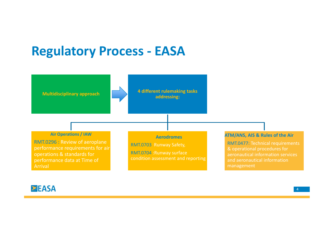

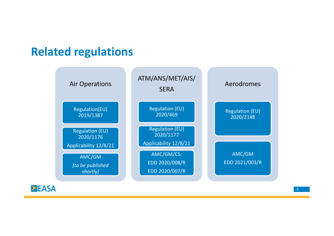

**ZEASA**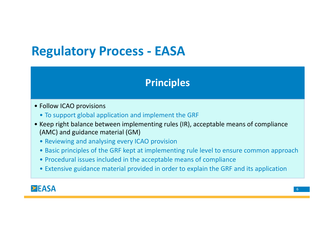# **Regulatory Process - EASA**

## Principles

- -
- **Regulatory Process EA**<br> **Princi**<br>
 Follow ICAO provisions<br>
 To support global application and implement<br>
 Keep right balance between implementing ru<br>
(AMC) and guidance material (GM) **egulatory Process - EASA**<br>• **Principles**<br>• To support global application and implement the GRF<br>Keep right balance between implementing rules (IR), acceptable means of<br>(AMC) and guidance material (GM)<br>• Reviewing and analy **Principles<br>• Follow ICAO provisions<br>• To support global application and implement the GRF<br>• Keep right balance between implementing rules (IR), acceptable means of compliance<br>(AMC) and guidance material (GM)<br>• Reviewing a** (AMC) and guidance material (GM) **Example 18 Separation Process - EASA<br>
• Principles<br>
• To support global application and implement the GRF<br>
\* To support global application and implement the GRF<br>
Keep right balance between implementing rules (IR), accepta Example 19 THOLESS - LASA<br>
• To support global application and implement the GRF<br>
• To support global application and implement the GRF<br>
Keep right balance between implementing rules (IR), acceptable means of compliance<br> Principles**<br> **•** To support global application and implement the GRF<br> **Examplement included in the acceptable means of compliance**<br> **(AMC)** and guidance material (GM)<br>
• Reviewing and analysing every ICAO provision<br>
• Bas **• Principles**<br>• To support global application and implement the GRF<br>Keep right balance between implementing rules (IR), acceptable means of compliance<br>(AMC) and guidance material (GM)<br>• Reviewing and analysing every ICAO
	-
	-
	-
	-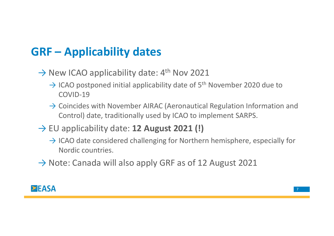- $GRF Applicability dates  
\n\rightarrow New ICAO applicability date: 4<sup>th</sup> Nov 2021  
\n\rightarrow ICAO generated initial considerableility data of 5<sup>th</sup>$  $\rightarrow$  New ICAO applicability date: 4<sup>th</sup> Nov 2021
	- $\rightarrow$  ICAO postponed initial applicability date of 5<sup>th</sup> November 2020 due to COVID-19
	- → Coincides with November AIRAC (Aeronautical Regulation Information and Control) date, traditionally used by ICAO to implement SARPS.
	- $\rightarrow$  EU applicability date: 12 August 2021 (!)
		- $\rightarrow$  ICAO date considered challenging for Northern hemisphere, especially for Nordic countries.
	- $\rightarrow$  Note: Canada will also apply GRF as of 12 August 2021

## **ZEASA**